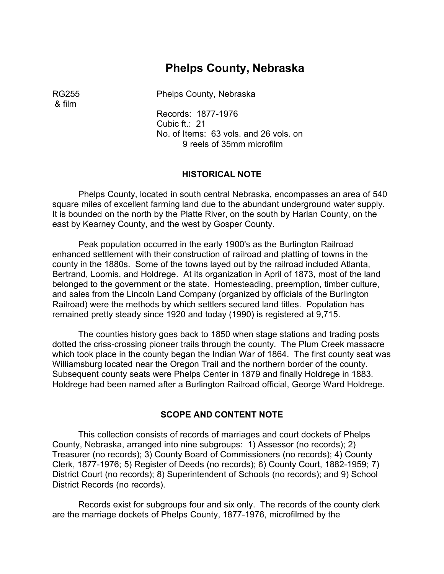# **Phelps County, Nebraska**

& film

RG255 Phelps County, Nebraska

Records: 1877-1976 Cubic ft.: 21 No. of Items: 63 vols. and 26 vols. on 9 reels of 35mm microfilm

### **HISTORICAL NOTE**

Phelps County, located in south central Nebraska, encompasses an area of 540 square miles of excellent farming land due to the abundant underground water supply. It is bounded on the north by the Platte River, on the south by Harlan County, on the east by Kearney County, and the west by Gosper County.

Peak population occurred in the early 1900's as the Burlington Railroad enhanced settlement with their construction of railroad and platting of towns in the county in the 1880s. Some of the towns layed out by the railroad included Atlanta, Bertrand, Loomis, and Holdrege. At its organization in April of 1873, most of the land belonged to the government or the state. Homesteading, preemption, timber culture, and sales from the Lincoln Land Company (organized by officials of the Burlington Railroad) were the methods by which settlers secured land titles. Population has remained pretty steady since 1920 and today (1990) is registered at 9,715.

The counties history goes back to 1850 when stage stations and trading posts dotted the criss-crossing pioneer trails through the county. The Plum Creek massacre which took place in the county began the Indian War of 1864. The first county seat was Williamsburg located near the Oregon Trail and the northern border of the county. Subsequent county seats were Phelps Center in 1879 and finally Holdrege in 1883. Holdrege had been named after a Burlington Railroad official, George Ward Holdrege.

### **SCOPE AND CONTENT NOTE**

This collection consists of records of marriages and court dockets of Phelps County, Nebraska, arranged into nine subgroups: 1) Assessor (no records); 2) Treasurer (no records); 3) County Board of Commissioners (no records); 4) County Clerk, 1877-1976; 5) Register of Deeds (no records); 6) County Court, 1882-1959; 7) District Court (no records); 8) Superintendent of Schools (no records); and 9) School District Records (no records).

Records exist for subgroups four and six only. The records of the county clerk are the marriage dockets of Phelps County, 1877-1976, microfilmed by the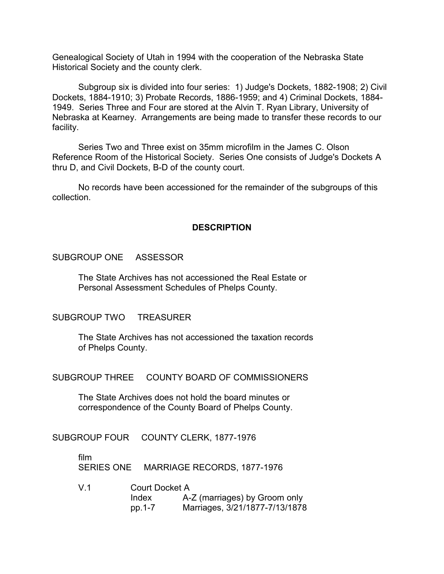Genealogical Society of Utah in 1994 with the cooperation of the Nebraska State Historical Society and the county clerk.

Subgroup six is divided into four series: 1) Judge's Dockets, 1882-1908; 2) Civil Dockets, 1884-1910; 3) Probate Records, 1886-1959; and 4) Criminal Dockets, 1884- 1949. Series Three and Four are stored at the Alvin T. Ryan Library, University of Nebraska at Kearney. Arrangements are being made to transfer these records to our facility.

Series Two and Three exist on 35mm microfilm in the James C. Olson Reference Room of the Historical Society. Series One consists of Judge's Dockets A thru D, and Civil Dockets, B-D of the county court.

No records have been accessioned for the remainder of the subgroups of this collection.

## **DESCRIPTION**

### SUBGROUP ONE ASSESSOR

The State Archives has not accessioned the Real Estate or Personal Assessment Schedules of Phelps County.

### SUBGROUP TWO TREASURER

The State Archives has not accessioned the taxation records of Phelps County. �

SUBGROUP THREE COUNTY BOARD OF COMMISSIONERS

The State Archives does not hold the board minutes or correspondence of the County Board of Phelps County.

SUBGROUP FOUR COUNTY CLERK, 1877-1976

film � SERIES ONE MARRIAGE RECORDS, 1877-1976

V.1 Court Docket A Index A-Z (marriages) by Groom only pp.1-7 Marriages, 3/21/1877-7/13/1878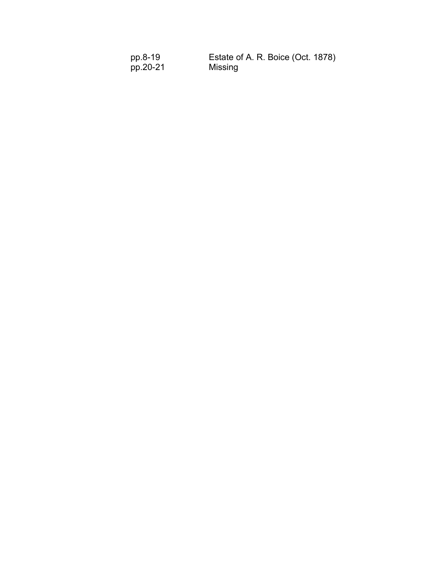| pp.8-19  | Estate of A. R. Boice (Oct. 1878) |
|----------|-----------------------------------|
| pp.20-21 | Missing                           |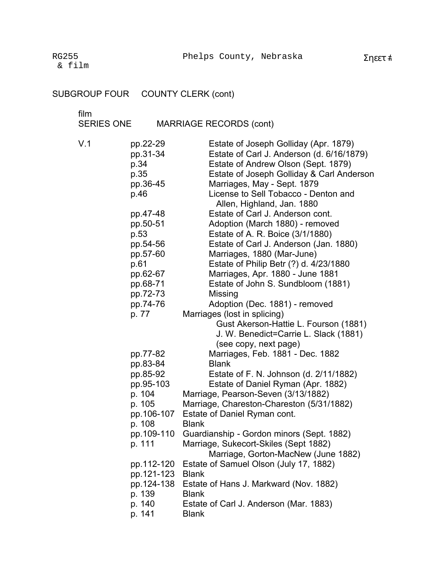RG255 & film

#### SUBGROUP FOUR COUNTY CLERK (cont)

film

V.1 pp.22-29 Estate of Joseph Golliday (Apr. 1879) pp.31-34 Estate of Carl J. Anderson (d. 6/16/1879) p.34 Estate of Andrew Olson (Sept. 1879) p.35 Estate of Joseph Golliday & Carl Anderson pp.36-45 Marriages, May - Sept. 1879 p.46 License to Sell Tobacco - Denton and Allen, Highland, Jan. 1880 pp.47-48 Estate of Carl J. Anderson cont. pp.50-51 Adoption (March 1880) - removed p.53 Estate of A. R. Boice (3/1/1880) pp.54-56 Estate of Carl J. Anderson (Jan. 1880) pp.57-60 Marriages, 1880 (Mar-June) p.61 Estate of Philip Betr (?) d. 4/23/1880 pp.62-67 Marriages, Apr. 1880 - June 1881 pp.68-71 Estate of John S. Sundbloom (1881) pp.72-73 Missing pp.74-76 Adoption (Dec. 1881) - removed p. 77 Marriages (lost in splicing) Gust Akerson-Hattie L. Fourson (1881) J. W. Benedict=Carrie L. Slack (1881) (see copy, next page) pp.77-82 Marriages, Feb. 1881 - Dec. 1882 pp.83-84 Blank pp.85-92 Estate of F. N. Johnson (d. 2/11/1882) pp.95-103 Estate of Daniel Ryman (Apr. 1882) p. 104 Marriage, Pearson-Seven (3/13/1882) p. 105 Marriage, Chareston-Chareston (5/31/1882) pp.106-107 Estate of Daniel Ryman cont. p. 108 Blank pp.109-110 Guardianship - Gordon minors (Sept. 1882) p. 111 Marriage, Sukecort-Skiles (Sept 1882) Marriage, Gorton-MacNew (June 1882) pp.112-120 Estate of Samuel Olson (July 17, 1882) pp.121-123 Blank pp.124-138 Estate of Hans J. Markward (Nov. 1882) p. 139 Blank p. 140 Estate of Carl J. Anderson (Mar. 1883) p. 141 Blank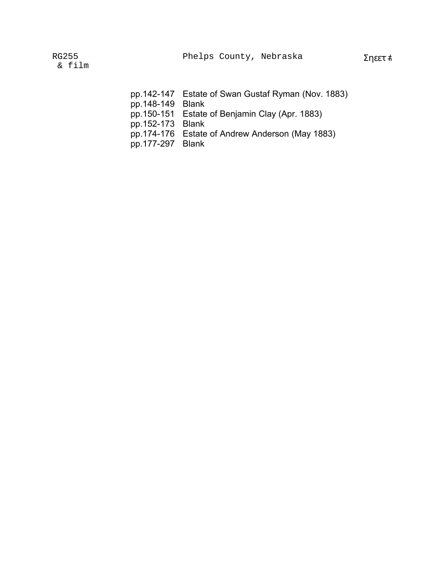|  | pp.142-147 Estate of Swan Gustaf Ryman (Nov. 1883) |  |  |  |
|--|----------------------------------------------------|--|--|--|
|--|----------------------------------------------------|--|--|--|

pp.148-149 Blank

- pp.150-151 Estate of Benjamin Clay (Apr. 1883)
- pp.152-173 Blank
- pp.174-176 Estate of Andrew Anderson (May 1883)
- pp.177-297 Blank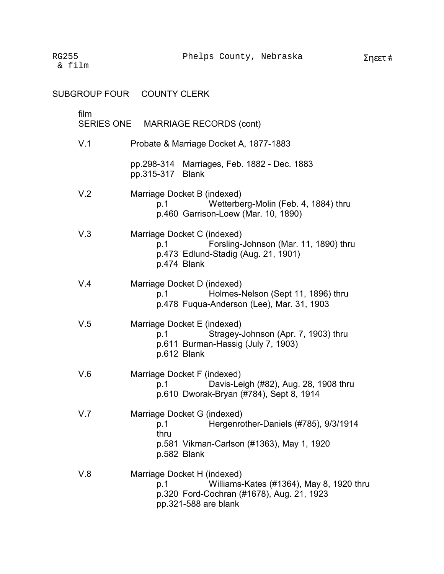SUBGROUP FOUR COUNTY CLERK

| film | SERIES ONE MARRIAGE RECORDS (cont)                                                                                                                  |
|------|-----------------------------------------------------------------------------------------------------------------------------------------------------|
| V.1  | Probate & Marriage Docket A, 1877-1883                                                                                                              |
|      | pp.298-314 Marriages, Feb. 1882 - Dec. 1883<br>pp.315-317 Blank                                                                                     |
| V.2  | Marriage Docket B (indexed)<br>Wetterberg-Molin (Feb. 4, 1884) thru<br>p.1<br>p.460 Garrison-Loew (Mar. 10, 1890)                                   |
| V.3  | Marriage Docket C (indexed)<br>Forsling-Johnson (Mar. 11, 1890) thru<br>p.1<br>p.473 Edlund-Stadig (Aug. 21, 1901)<br>p.474 Blank                   |
| V.4  | Marriage Docket D (indexed)<br>Holmes-Nelson (Sept 11, 1896) thru<br>p.1<br>p.478 Fugua-Anderson (Lee), Mar. 31, 1903                               |
| V.5  | Marriage Docket E (indexed)<br>Stragey-Johnson (Apr. 7, 1903) thru<br>p.1<br>p.611 Burman-Hassig (July 7, 1903)<br>p.612 Blank                      |
| V.6  | Marriage Docket F (indexed)<br>Davis-Leigh (#82), Aug. 28, 1908 thru<br>p.1<br>p.610 Dworak-Bryan (#784), Sept 8, 1914                              |
| V.7  | Marriage Docket G (indexed)<br>Hergenrother-Daniels (#785), 9/3/1914<br>p.1<br>thru<br>p.581 Vikman-Carlson (#1363), May 1, 1920<br>p.582 Blank     |
| V.8  | Marriage Docket H (indexed)<br>Williams-Kates (#1364), May 8, 1920 thru<br>p.1<br>p.320 Ford-Cochran (#1678), Aug. 21, 1923<br>pp.321-588 are blank |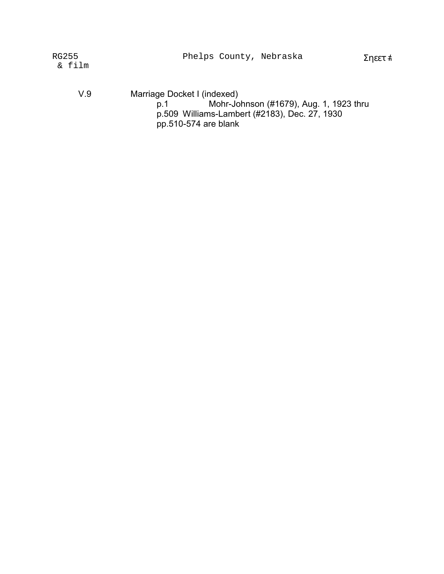| RG255 |      |  |
|-------|------|--|
| &−    | film |  |

V.9 Marriage Docket I (indexed) p.1 Mohr-Johnson (#1679), Aug. 1, 1923 thru p.509 Williams-Lambert (#2183), Dec. 27, 1930 pp.510-574 are blank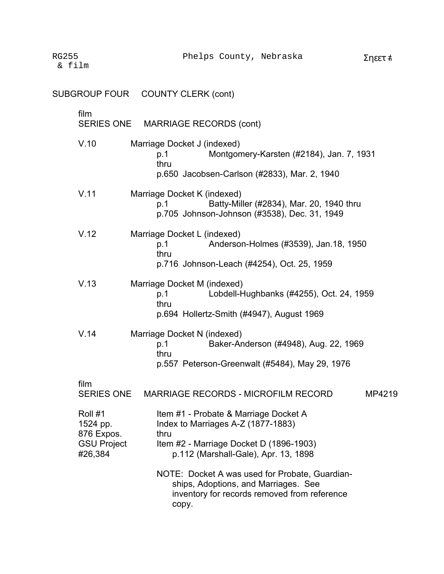|                                                                    | SUBGROUP FOUR COUNTY CLERK (cont)                                                                                                                                      |
|--------------------------------------------------------------------|------------------------------------------------------------------------------------------------------------------------------------------------------------------------|
| film<br>SERIES ONE                                                 | <b>MARRIAGE RECORDS (cont)</b>                                                                                                                                         |
| V.10                                                               | Marriage Docket J (indexed)<br>Montgomery-Karsten (#2184), Jan. 7, 1931<br>p.1<br>thru<br>p.650 Jacobsen-Carlson (#2833), Mar. 2, 1940                                 |
| V.11                                                               | Marriage Docket K (indexed)<br>Batty-Miller (#2834), Mar. 20, 1940 thru<br>p.1<br>p.705 Johnson-Johnson (#3538), Dec. 31, 1949                                         |
| V.12                                                               | Marriage Docket L (indexed)<br>Anderson-Holmes (#3539), Jan.18, 1950<br>p.1<br>thru<br>p.716 Johnson-Leach (#4254), Oct. 25, 1959                                      |
| V.13                                                               | Marriage Docket M (indexed)<br>Lobdell-Hughbanks (#4255), Oct. 24, 1959<br>p.1<br>thru<br>p.694 Hollertz-Smith (#4947), August 1969                                    |
| V.14                                                               | Marriage Docket N (indexed)<br>Baker-Anderson (#4948), Aug. 22, 1969<br>p.1<br>thru<br>p.557 Peterson-Greenwalt (#5484), May 29, 1976                                  |
| film                                                               |                                                                                                                                                                        |
| <b>SERIES ONE</b>                                                  | <b>MARRIAGE RECORDS - MICROFILM RECORD</b><br>MP4219                                                                                                                   |
| Roll #1<br>1524 pp.<br>876 Expos.<br><b>GSU Project</b><br>#26,384 | Item #1 - Probate & Marriage Docket A<br>Index to Marriages A-Z (1877-1883)<br>thru<br>Item #2 - Marriage Docket D (1896-1903)<br>p.112 (Marshall-Gale), Apr. 13, 1898 |
|                                                                    | NOTE: Docket A was used for Probate, Guardian-<br>ships, Adoptions, and Marriages. See<br>inventory for records removed from reference<br>copy.                        |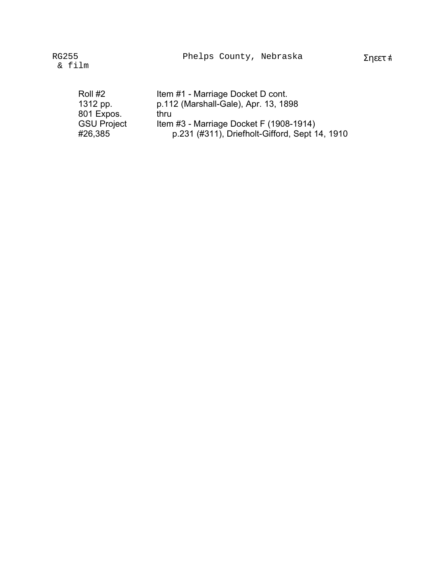| Roll #2            | Item #1 - Marriage Docket D cont.              |
|--------------------|------------------------------------------------|
| 1312 pp.           | p.112 (Marshall-Gale), Apr. 13, 1898           |
| 801 Expos.         | thru                                           |
| <b>GSU Project</b> | Item #3 - Marriage Docket F (1908-1914)        |
| #26,385            | p.231 (#311), Driefholt-Gifford, Sept 14, 1910 |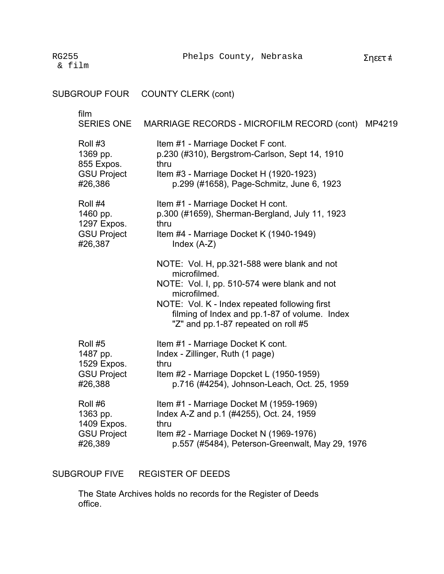RG255 & film

SUBGROUP FOUR film SERIES ONE Roll #3 1369 pp. 855 Expos. GSU Project #26,386 Roll #4 1460 pp. 1297 Expos. GSU Project #26,387 Roll #5 1487 pp. 1529 Expos. GSU Project #26,388 Roll #6 1363 pp. 1409 Expos. GSU Project #26,389 COUNTY CLERK (cont) MARRIAGE RECORDS - MICROFILM RECORD (cont) MP4219 Item #1 - Marriage Docket F cont. p.230 (#310), Bergstrom-Carlson, Sept 14, 1910 thru Item #3 - Marriage Docket H (1920-1923) p.299 (#1658), Page-Schmitz, June 6, 1923 Item #1 - Marriage Docket H cont. p.300 (#1659), Sherman-Bergland, July 11, 1923 thru Item #4 - Marriage Docket K (1940-1949) Index (A-Z) NOTE: Vol. H, pp.321-588 were blank and not microfilmed. NOTE: Vol. I, pp. 510-574 were blank and not microfilmed. NOTE: Vol. K - Index repeated following first � filming of Index and pp.1-87 of volume. Index "Z" and pp.1-87 repeated on roll #5 Item #1 - Marriage Docket K cont. Index - Zillinger, Ruth (1 page) thru Item #2 - Marriage Dopcket L (1950-1959) p.716 (#4254), Johnson-Leach, Oct. 25, 1959 Item #1 - Marriage Docket M (1959-1969) Index A-Z and p.1 (#4255), Oct. 24, 1959 thru Item #2 - Marriage Docket N (1969-1976) p.557 (#5484), Peterson-Greenwalt, May 29, 1976

SUBGROUP FIVE REGISTER OF DEEDS

> The State Archives holds no records for the Register of Deeds office.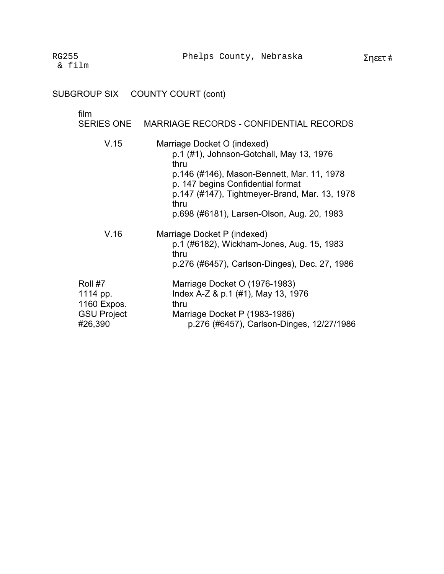# SUBGROUP SIX COUNTY COURT (cont)

## film

|                         | SERIES ONE MARRIAGE RECORDS - CONFIDENTIAL RECORDS                              |
|-------------------------|---------------------------------------------------------------------------------|
| V.15                    | Marriage Docket O (indexed)<br>p.1 (#1), Johnson-Gotchall, May 13, 1976<br>thru |
|                         | p.146 (#146), Mason-Bennett, Mar. 11, 1978<br>p. 147 begins Confidential format |
|                         | p.147 (#147), Tightmeyer-Brand, Mar. 13, 1978<br>thru                           |
|                         | p.698 (#6181), Larsen-Olson, Aug. 20, 1983                                      |
| V.16                    | Marriage Docket P (indexed)<br>p.1 (#6182), Wickham-Jones, Aug. 15, 1983        |
|                         | thru<br>p.276 (#6457), Carlson-Dinges), Dec. 27, 1986                           |
| Roll #7                 | Marriage Docket O (1976-1983)                                                   |
| 1114 pp.<br>1160 Expos. | Index A-Z & p.1 (#1), May 13, 1976<br>thru                                      |
| <b>GSU Project</b>      | Marriage Docket P (1983-1986)                                                   |
| #26,390                 | p.276 (#6457), Carlson-Dinges, 12/27/1986                                       |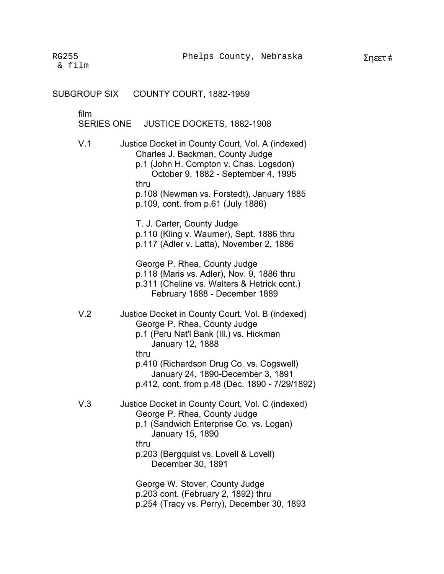| SUBGROUP SIX              | COUNTY COURT, 1882-1959                                                                                                                                                                                                                                                                           |
|---------------------------|---------------------------------------------------------------------------------------------------------------------------------------------------------------------------------------------------------------------------------------------------------------------------------------------------|
| film<br><b>SERIES ONE</b> | <b>JUSTICE DOCKETS, 1882-1908</b>                                                                                                                                                                                                                                                                 |
| V.1                       | Justice Docket in County Court, Vol. A (indexed)<br>Charles J. Backman, County Judge<br>p.1 (John H. Compton v. Chas. Logsdon)<br>October 9, 1882 - September 4, 1995<br>thru<br>p.108 (Newman vs. Forstedt), January 1885<br>p.109, cont. from p.61 (July 1886)                                  |
|                           | T. J. Carter, County Judge<br>p.110 (Kling v. Waumer), Sept. 1886 thru<br>p.117 (Adler v. Latta), November 2, 1886                                                                                                                                                                                |
|                           | George P. Rhea, County Judge<br>p.118 (Maris vs. Adler), Nov. 9, 1886 thru<br>p.311 (Cheline vs. Walters & Hetrick cont.)<br>February 1888 - December 1889                                                                                                                                        |
| V <sub>.2</sub>           | Justice Docket in County Court, Vol. B (indexed)<br>George P. Rhea, County Judge<br>p.1 (Peru Nat'l Bank (III.) vs. Hickman<br><b>January 12, 1888</b><br>thru<br>p.410 (Richardson Drug Co. vs. Cogswell)<br>January 24, 1890-December 3, 1891<br>p.412, cont. from p.48 (Dec. 1890 - 7/29/1892) |
| V.3                       | Justice Docket in County Court, Vol. C (indexed)<br>George P. Rhea, County Judge<br>p.1 (Sandwich Enterprise Co. vs. Logan)<br>January 15, 1890<br>thru<br>p.203 (Bergquist vs. Lovell & Lovell)<br>December 30, 1891                                                                             |
|                           | George W. Stover, County Judge<br>p.203 cont. (February 2, 1892) thru<br>p.254 (Tracy vs. Perry), December 30, 1893                                                                                                                                                                               |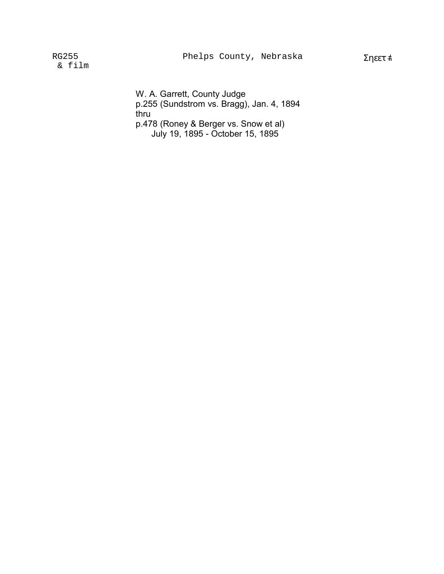RG255 & film

> W. A. Garrett, County Judge p.255 (Sundstrom vs. Bragg), Jan. 4, 1894 thru p.478 (Roney & Berger vs. Snow et al) July 19, 1895 - October 15, 1895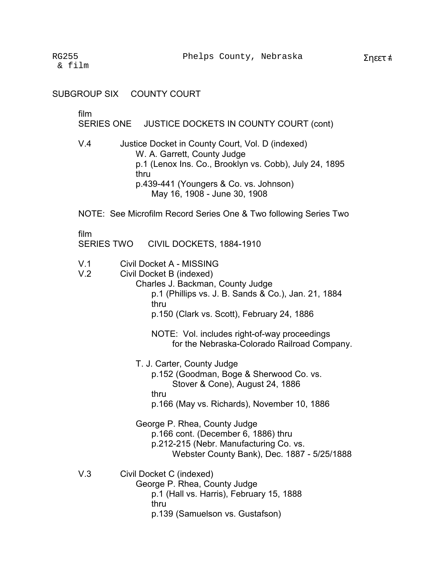## SUBGROUP SIX COUNTY COURT

film

SERIES ONE JUSTICE DOCKETS IN COUNTY COURT (cont)

- V.4 Justice Docket in County Court, Vol. D (indexed) W. A. Garrett, County Judge p.1 (Lenox Ins. Co., Brooklyn vs. Cobb), July 24, 1895 thru p.439-441 (Youngers & Co. vs. Johnson) May 16, 1908 - June 30, 1908
- NOTE: See Microfilm Record Series One & Two following Series Two

film

SERIES TWO CIVIL DOCKETS, 1884-1910

- V.1 Civil Docket A MISSING<br>V.2 Civil Docket B (indexed)
- Civil Docket B (indexed)

Charles J. Backman, County Judge p.1 (Phillips vs. J. B. Sands & Co.), Jan. 21, 1884 thru p.150 (Clark vs. Scott), February 24, 1886

NOTE: Vol. includes right-of-way proceedings for the Nebraska-Colorado Railroad Company.

- T. J. Carter, County Judge p.152 (Goodman, Boge & Sherwood Co. vs. Stover & Cone), August 24, 1886 thru p.166 (May vs. Richards), November 10, 1886
- George P. Rhea, County Judge p.166 cont. (December 6, 1886) thru p.212-215 (Nebr. Manufacturing Co. vs. Webster County Bank), Dec. 1887 - 5/25/1888
- V.3 Civil Docket C (indexed) George P. Rhea, County Judge p.1 (Hall vs. Harris), February 15, 1888 thru p.139 (Samuelson vs. Gustafson)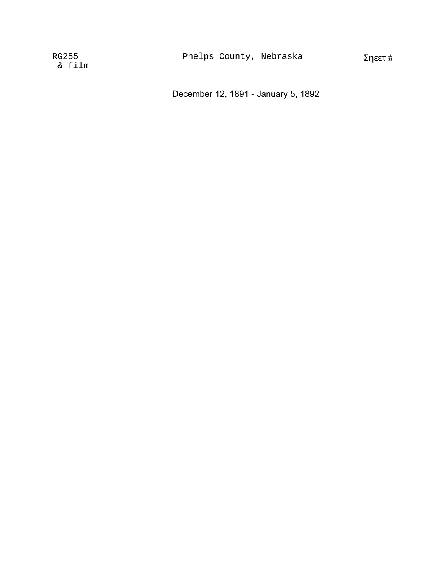December 12, 1891 - January 5, 1892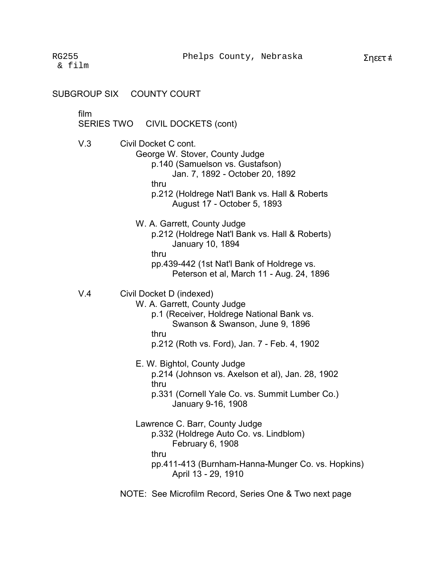SUBGROUP SIX COUNTY COURT

film �

SERIES TWO CIVIL DOCKETS (cont)

V.3 Civil Docket C cont.

George W. Stover, County Judge p.140 (Samuelson vs. Gustafson)

Jan. 7, 1892 - October 20, 1892

thru

p.212 (Holdrege Nat'l Bank vs. Hall & Roberts August 17 - October 5, 1893

W. A. Garrett, County Judge p.212 (Holdrege Nat'l Bank vs. Hall & Roberts) January 10, 1894 thru pp.439-442 (1st Nat'l Bank of Holdrege vs.

Peterson et al, March 11 - Aug. 24, 1896

V.4 Civil Docket D (indexed)

W. A. Garrett, County Judge

- p.1 (Receiver, Holdrege National Bank vs. Swanson & Swanson, June 9, 1896 thru
- p.212 (Roth vs. Ford), Jan. 7 Feb. 4, 1902

E. W. Bightol, County Judge p.214 (Johnson vs. Axelson et al), Jan. 28, 1902 thru p.331 (Cornell Yale Co. vs. Summit Lumber Co.)

January 9-16, 1908

Lawrence C. Barr, County Judge p.332 (Holdrege Auto Co. vs. Lindblom) February 6, 1908 thru pp.411-413 (Burnham-Hanna-Munger Co. vs. Hopkins) April 13 - 29, 1910

NOTE: See Microfilm Record, Series One & Two next page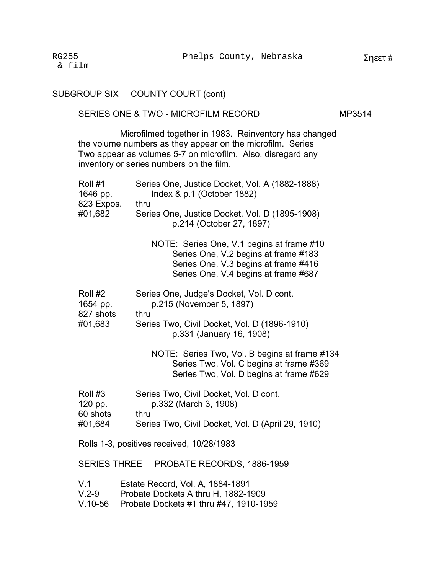|                                              | SUBGROUP SIX COUNTY COURT (cont)                                                                                                                                                                                               |        |  |
|----------------------------------------------|--------------------------------------------------------------------------------------------------------------------------------------------------------------------------------------------------------------------------------|--------|--|
|                                              | SERIES ONE & TWO - MICROFILM RECORD                                                                                                                                                                                            | MP3514 |  |
|                                              | Microfilmed together in 1983. Reinventory has changed<br>the volume numbers as they appear on the microfilm. Series<br>Two appear as volumes 5-7 on microfilm. Also, disregard any<br>inventory or series numbers on the film. |        |  |
| Roll #1<br>1646 pp.<br>823 Expos.<br>#01,682 | Series One, Justice Docket, Vol. A (1882-1888)<br>Index & p.1 (October 1882)<br>thru<br>Series One, Justice Docket, Vol. D (1895-1908)<br>p.214 (October 27, 1897)                                                             |        |  |
|                                              | NOTE: Series One, V.1 begins at frame #10<br>Series One, V.2 begins at frame #183<br>Series One, V.3 begins at frame #416<br>Series One, V.4 begins at frame #687                                                              |        |  |
| Roll #2<br>1654 pp.<br>827 shots<br>#01,683  | Series One, Judge's Docket, Vol. D cont.<br>p.215 (November 5, 1897)<br>thru<br>Series Two, Civil Docket, Vol. D (1896-1910)<br>p.331 (January 16, 1908)                                                                       |        |  |
|                                              | NOTE: Series Two, Vol. B begins at frame #134<br>Series Two, Vol. C begins at frame #369<br>Series Two, Vol. D begins at frame #629                                                                                            |        |  |
| Roll #3<br>120 pp.<br>60 shots<br>#01,684    | Series Two, Civil Docket, Vol. D cont.<br>p.332 (March 3, 1908)<br>thru<br>Series Two, Civil Docket, Vol. D (April 29, 1910)                                                                                                   |        |  |
|                                              | Rolls 1-3, positives received, 10/28/1983                                                                                                                                                                                      |        |  |
|                                              | SERIES THREE PROBATE RECORDS, 1886-1959                                                                                                                                                                                        |        |  |
| V.1<br>$V.2-9$                               | Estate Record, Vol. A, 1884-1891<br>Probate Dockets A thru H, 1882-1909                                                                                                                                                        |        |  |

V.10-56 Probate Dockets #1 thru #47, 1910-1959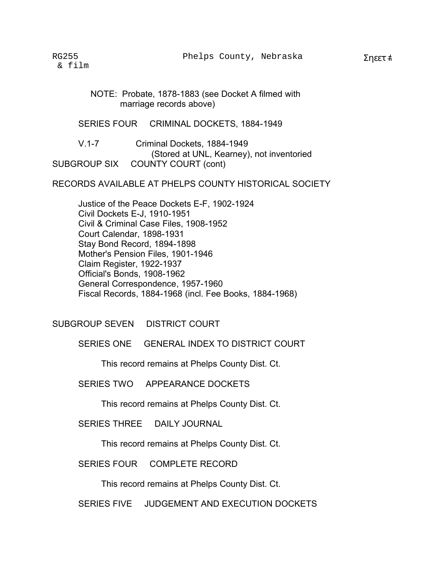NOTE: Probate, 1878-1883 (see Docket A filmed with marriage records above) �

SERIES FOUR CRIMINAL DOCKETS, 1884-1949

V.1-7 Criminal Dockets, 1884-1949 (Stored at UNL, Kearney), not inventoried SUBGROUP SIX COUNTY COURT (cont)

RECORDS AVAILABLE AT PHELPS COUNTY HISTORICAL SOCIETY

Justice of the Peace Dockets E-F, 1902-1924 Civil Dockets E-J, 1910-1951 Civil & Criminal Case Files, 1908-1952 Court Calendar, 1898-1931 Stay Bond Record, 1894-1898 Mother's Pension Files, 1901-1946 Claim Register, 1922-1937 Official's Bonds, 1908-1962 General Correspondence, 1957-1960 Fiscal Records, 1884-1968 (incl. Fee Books, 1884-1968) �

SUBGROUP SEVEN DISTRICT COURT

SERIES ONE GENERAL INDEX TO DISTRICT COURT

This record remains at Phelps County Dist. Ct.

SERIES TWO APPEARANCE DOCKETS

This record remains at Phelps County Dist. Ct.

SERIES THREE DAILY JOURNAL

This record remains at Phelps County Dist. Ct.

SERIES FOUR COMPLETE RECORD

This record remains at Phelps County Dist. Ct.

SERIES FIVE JUDGEMENT AND EXECUTION DOCKETS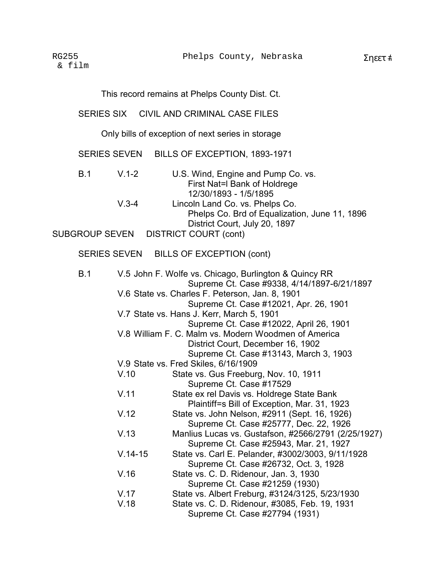This record remains at Phelps County Dist. Ct.

### SERIES SIX CIVIL AND CRIMINAL CASE FILES

Only bills of exception of next series in storage

SERIES SEVEN BILLS OF EXCEPTION, 1893-1971

| B.1 | V 1-2   | U.S. Wind, Engine and Pump Co. vs.            |
|-----|---------|-----------------------------------------------|
|     |         | First Nat=I Bank of Holdrege                  |
|     |         | 12/30/1893 - 1/5/1895                         |
|     | $V$ 3-4 | Lincoln Land Co. vs. Phelps Co.               |
|     |         | Phelps Co. Brd of Equalization, June 11, 1896 |
|     |         | District Court, July 20, 1897                 |

SUBGROUP SEVEN DISTRICT COURT (cont)

# SERIES SEVEN BILLS OF EXCEPTION (cont)

| B.1 |           | V.5 John F. Wolfe vs. Chicago, Burlington & Quincy RR<br>Supreme Ct. Case #9338, 4/14/1897-6/21/1897 |
|-----|-----------|------------------------------------------------------------------------------------------------------|
|     |           | V.6 State vs. Charles F. Peterson, Jan. 8, 1901                                                      |
|     |           | Supreme Ct. Case #12021, Apr. 26, 1901                                                               |
|     |           | V.7 State vs. Hans J. Kerr, March 5, 1901                                                            |
|     |           | Supreme Ct. Case #12022, April 26, 1901                                                              |
|     |           |                                                                                                      |
|     |           | V.8 William F. C. Malm vs. Modern Woodmen of America                                                 |
|     |           | District Court, December 16, 1902                                                                    |
|     |           | Supreme Ct. Case #13143, March 3, 1903                                                               |
|     |           | V.9 State vs. Fred Skiles, 6/16/1909                                                                 |
|     | V.10      | State vs. Gus Freeburg, Nov. 10, 1911                                                                |
|     |           | Supreme Ct. Case #17529                                                                              |
|     | V.11      | State ex rel Davis vs. Holdrege State Bank                                                           |
|     |           | Plaintiff=s Bill of Exception, Mar. 31, 1923                                                         |
|     | V.12      | State vs. John Nelson, #2911 (Sept. 16, 1926)                                                        |
|     |           | Supreme Ct. Case #25777, Dec. 22, 1926                                                               |
|     | V.13      | Manlius Lucas vs. Gustafson, #2566/2791 (2/25/1927)                                                  |
|     |           | Supreme Ct. Case #25943, Mar. 21, 1927                                                               |
|     | $V.14-15$ | State vs. Carl E. Pelander, #3002/3003, 9/11/1928                                                    |
|     |           | Supreme Ct. Case #26732, Oct. 3, 1928                                                                |
|     | V.16      | State vs. C. D. Ridenour, Jan. 3, 1930                                                               |
|     |           | Supreme Ct. Case #21259 (1930)                                                                       |
|     | V.17      | State vs. Albert Freburg, #3124/3125, 5/23/1930                                                      |
|     |           |                                                                                                      |
|     | V.18      | State vs. C. D. Ridenour, #3085, Feb. 19, 1931                                                       |
|     |           | Supreme Ct. Case #27794 (1931)                                                                       |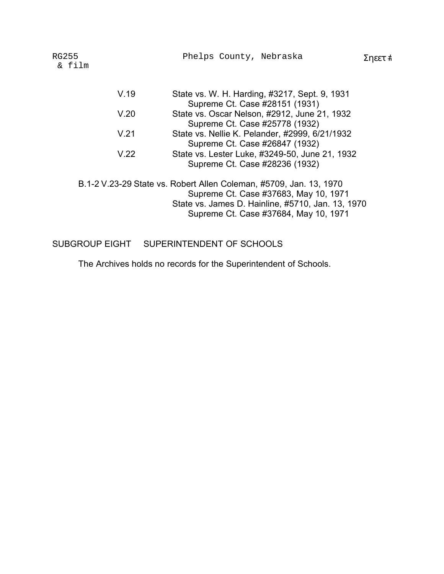| RG255<br>& film | Phelps County, Nebraska                                                                                                                                                                                   | Σηεετ # |
|-----------------|-----------------------------------------------------------------------------------------------------------------------------------------------------------------------------------------------------------|---------|
| V.19            | State vs. W. H. Harding, #3217, Sept. 9, 1931<br>Supreme Ct. Case #28151 (1931)                                                                                                                           |         |
| V.20            | State vs. Oscar Nelson, #2912, June 21, 1932<br>Supreme Ct. Case #25778 (1932)                                                                                                                            |         |
| V.21            | State vs. Nellie K. Pelander, #2999, 6/21/1932<br>Supreme Ct. Case #26847 (1932)                                                                                                                          |         |
| V.22            | State vs. Lester Luke, #3249-50, June 21, 1932<br>Supreme Ct. Case #28236 (1932)                                                                                                                          |         |
|                 | B.1-2 V.23-29 State vs. Robert Allen Coleman, #5709, Jan. 13, 1970<br>Supreme Ct. Case #37683, May 10, 1971<br>State vs. James D. Hainline, #5710, Jan. 13, 1970<br>Supreme Ct. Case #37684, May 10, 1971 |         |

SUBGROUP EIGHT SUPERINTENDENT OF SCHOOLS

The Archives holds no records for the Superintendent of Schools.